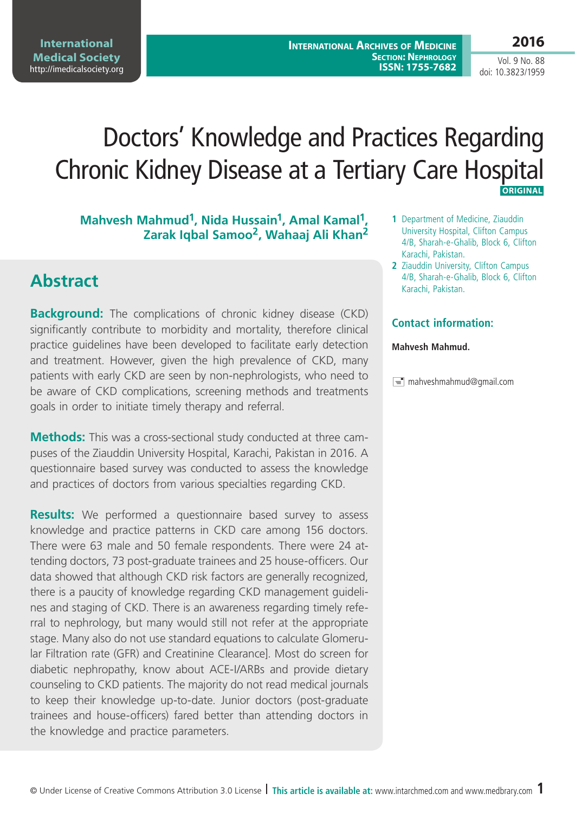# Doctors' Knowledge and Practices Regarding Chronic Kidney Disease at a Tertiary Care Hospital  **Original**

### Mahvesh Mahmud<sup>1</sup>, Nida Hussain<sup>1</sup>, Amal Kamal<sup>1</sup>, **Zarak Iqbal Samoo2, Wahaaj Ali Khan2**

## **Abstract**

**Background:** The complications of chronic kidney disease (CKD) significantly contribute to morbidity and mortality, therefore clinical practice guidelines have been developed to facilitate early detection and treatment. However, given the high prevalence of CKD, many patients with early CKD are seen by non-nephrologists, who need to be aware of CKD complications, screening methods and treatments goals in order to initiate timely therapy and referral.

**Methods:** This was a cross-sectional study conducted at three campuses of the Ziauddin University Hospital, Karachi, Pakistan in 2016. A questionnaire based survey was conducted to assess the knowledge and practices of doctors from various specialties regarding CKD.

**Results:** We performed a questionnaire based survey to assess knowledge and practice patterns in CKD care among 156 doctors. There were 63 male and 50 female respondents. There were 24 attending doctors, 73 post-graduate trainees and 25 house-officers. Our data showed that although CKD risk factors are generally recognized, there is a paucity of knowledge regarding CKD management guidelines and staging of CKD. There is an awareness regarding timely referral to nephrology, but many would still not refer at the appropriate stage. Many also do not use standard equations to calculate Glomerular Filtration rate (GFR) and Creatinine Clearance]. Most do screen for diabetic nephropathy, know about ACE-I/ARBs and provide dietary counseling to CKD patients. The majority do not read medical journals to keep their knowledge up-to-date. Junior doctors (post-graduate trainees and house-officers) fared better than attending doctors in the knowledge and practice parameters.

- **1** Department of Medicine, Ziauddin University Hospital, Clifton Campus 4/B, Sharah-e-Ghalib, Block 6, Clifton Karachi, Pakistan.
- **2** Ziauddin University, Clifton Campus 4/B, Sharah-e-Ghalib, Block 6, Clifton Karachi, Pakistan.

### **Contact information:**

#### **Mahvesh Mahmud.**

 $\equiv$  mahveshmahmud@gmail.com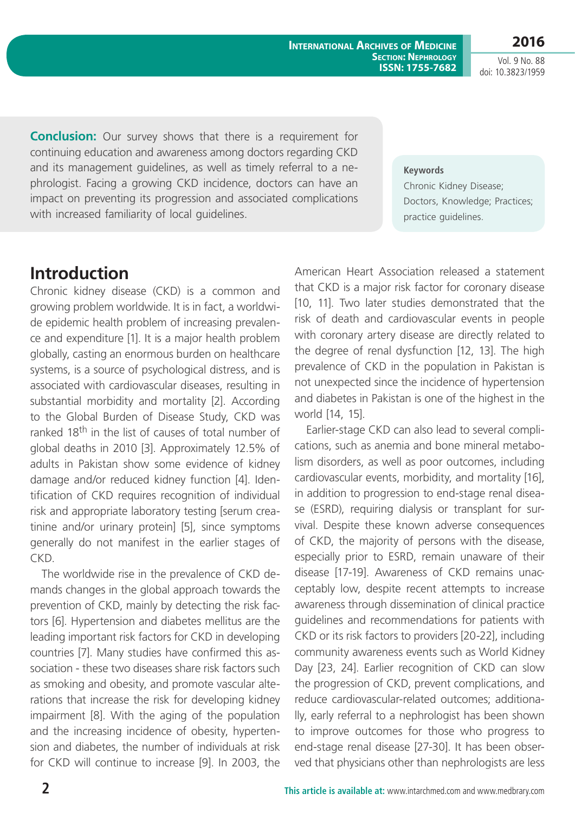**2016**

Vol. 9 No. 88 doi: 10.3823/1959

**Conclusion:** Our survey shows that there is a requirement for continuing education and awareness among doctors regarding CKD and its management guidelines, as well as timely referral to a nephrologist. Facing a growing CKD incidence, doctors can have an impact on preventing its progression and associated complications with increased familiarity of local guidelines.

#### **Keywords**

Chronic Kidney Disease; Doctors, Knowledge; Practices; practice guidelines.

## **Introduction**

Chronic kidney disease (CKD) is a common and growing problem worldwide. It is in fact, a worldwide epidemic health problem of increasing prevalence and expenditure [1]. It is a major health problem globally, casting an enormous burden on healthcare systems, is a source of psychological distress, and is associated with cardiovascular diseases, resulting in substantial morbidity and mortality [2]. According to the Global Burden of Disease Study, CKD was ranked 18<sup>th</sup> in the list of causes of total number of global deaths in 2010 [3]. Approximately 12.5% of adults in Pakistan show some evidence of kidney damage and/or reduced kidney function [4]. Identification of CKD requires recognition of individual risk and appropriate laboratory testing [serum creatinine and/or urinary protein] [5], since symptoms generally do not manifest in the earlier stages of CKD.

The worldwide rise in the prevalence of CKD demands changes in the global approach towards the prevention of CKD, mainly by detecting the risk factors [6]. Hypertension and diabetes mellitus are the leading important risk factors for CKD in developing countries [7]. Many studies have confirmed this association - these two diseases share risk factors such as smoking and obesity, and promote vascular alterations that increase the risk for developing kidney impairment [8]. With the aging of the population and the increasing incidence of obesity, hypertension and diabetes, the number of individuals at risk for CKD will continue to increase [9]. In 2003, the American Heart Association released a statement that CKD is a major risk factor for coronary disease [10, 11]. Two later studies demonstrated that the risk of death and cardiovascular events in people with coronary artery disease are directly related to the degree of renal dysfunction [12, 13]. The high prevalence of CKD in the population in Pakistan is not unexpected since the incidence of hypertension and diabetes in Pakistan is one of the highest in the world [14, 15].

Earlier-stage CKD can also lead to several complications, such as anemia and bone mineral metabolism disorders, as well as poor outcomes, including cardiovascular events, morbidity, and mortality [16], in addition to progression to end-stage renal disease (ESRD), requiring dialysis or transplant for survival. Despite these known adverse consequences of CKD, the majority of persons with the disease, especially prior to ESRD, remain unaware of their disease [17-19]. Awareness of CKD remains unacceptably low, despite recent attempts to increase awareness through dissemination of clinical practice guidelines and recommendations for patients with CKD or its risk factors to providers [20-22], including community awareness events such as World Kidney Day [23, 24]. Earlier recognition of CKD can slow the progression of CKD, prevent complications, and reduce cardiovascular-related outcomes; additionally, early referral to a nephrologist has been shown to improve outcomes for those who progress to end-stage renal disease [27-30]. It has been observed that physicians other than nephrologists are less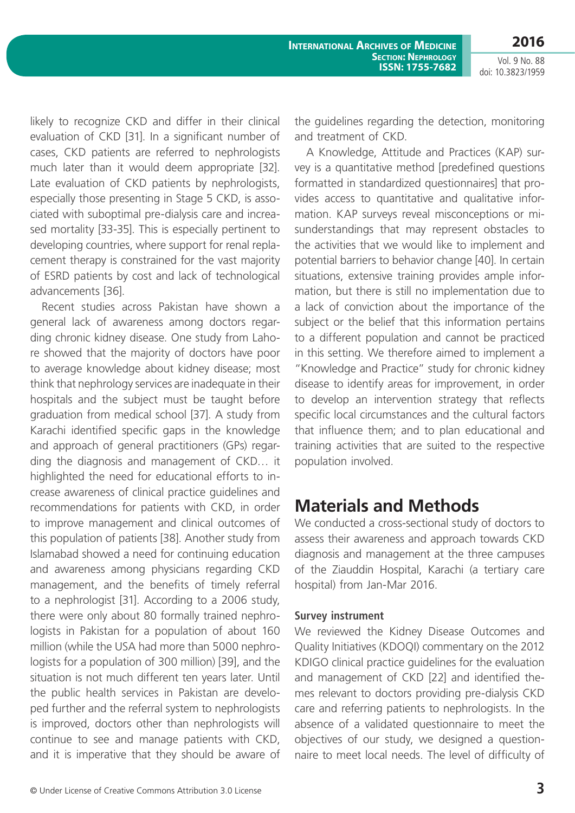likely to recognize CKD and differ in their clinical evaluation of CKD [31]. In a significant number of cases, CKD patients are referred to nephrologists much later than it would deem appropriate [32]. Late evaluation of CKD patients by nephrologists, especially those presenting in Stage 5 CKD, is associated with suboptimal pre-dialysis care and increased mortality [33-35]. This is especially pertinent to developing countries, where support for renal replacement therapy is constrained for the vast majority of ESRD patients by cost and lack of technological advancements [36].

Recent studies across Pakistan have shown a general lack of awareness among doctors regarding chronic kidney disease. One study from Lahore showed that the majority of doctors have poor to average knowledge about kidney disease; most think that nephrology services are inadequate in their hospitals and the subject must be taught before graduation from medical school [37]. A study from Karachi identified specific gaps in the knowledge and approach of general practitioners (GPs) regarding the diagnosis and management of CKD… it highlighted the need for educational efforts to increase awareness of clinical practice guidelines and recommendations for patients with CKD, in order to improve management and clinical outcomes of this population of patients [38]. Another study from Islamabad showed a need for continuing education and awareness among physicians regarding CKD management, and the benefits of timely referral to a nephrologist [31]. According to a 2006 study, there were only about 80 formally trained nephrologists in Pakistan for a population of about 160 million (while the USA had more than 5000 nephrologists for a population of 300 million) [39], and the situation is not much different ten years later. Until the public health services in Pakistan are developed further and the referral system to nephrologists is improved, doctors other than nephrologists will continue to see and manage patients with CKD, and it is imperative that they should be aware of

the guidelines regarding the detection, monitoring and treatment of CKD.

A Knowledge, Attitude and Practices (KAP) survey is a quantitative method [predefined questions formatted in standardized questionnaires] that provides access to quantitative and qualitative information. KAP surveys reveal misconceptions or misunderstandings that may represent obstacles to the activities that we would like to implement and potential barriers to behavior change [40]. In certain situations, extensive training provides ample information, but there is still no implementation due to a lack of conviction about the importance of the subject or the belief that this information pertains to a different population and cannot be practiced in this setting. We therefore aimed to implement a "Knowledge and Practice" study for chronic kidney disease to identify areas for improvement, in order to develop an intervention strategy that reflects specific local circumstances and the cultural factors that influence them; and to plan educational and training activities that are suited to the respective population involved.

## **Materials and Methods**

We conducted a cross-sectional study of doctors to assess their awareness and approach towards CKD diagnosis and management at the three campuses of the Ziauddin Hospital, Karachi (a tertiary care hospital) from Jan-Mar 2016.

### **Survey instrument**

We reviewed the Kidney Disease Outcomes and Quality Initiatives (KDOQI) commentary on the 2012 KDIGO clinical practice guidelines for the evaluation and management of CKD [22] and identified themes relevant to doctors providing pre-dialysis CKD care and referring patients to nephrologists. In the absence of a validated questionnaire to meet the objectives of our study, we designed a questionnaire to meet local needs. The level of difficulty of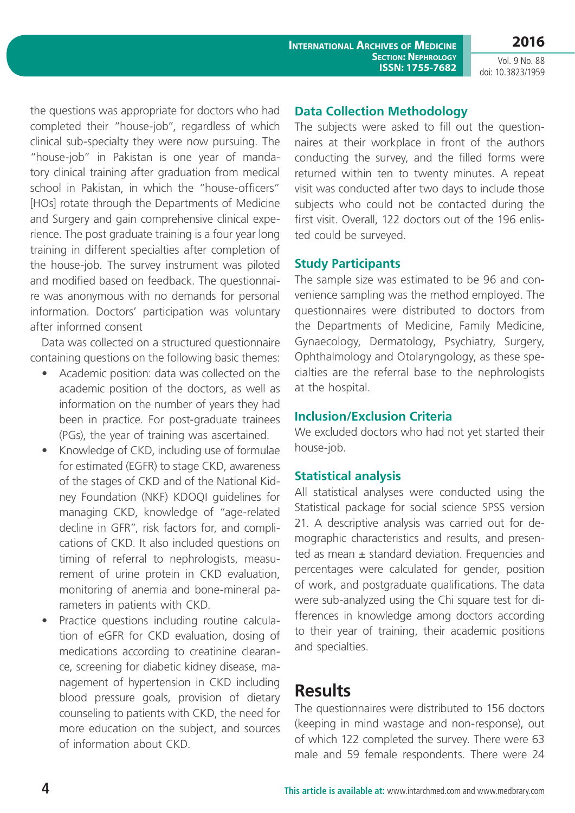Vol. 9 No. 88 doi: 10.3823/1959

the questions was appropriate for doctors who had completed their "house-job", regardless of which clinical sub-specialty they were now pursuing. The "house-job" in Pakistan is one year of mandatory clinical training after graduation from medical school in Pakistan, in which the "house-officers" [HOs] rotate through the Departments of Medicine and Surgery and gain comprehensive clinical experience. The post graduate training is a four year long training in different specialties after completion of the house-job. The survey instrument was piloted and modified based on feedback. The questionnaire was anonymous with no demands for personal information. Doctors' participation was voluntary after informed consent

Data was collected on a structured questionnaire containing questions on the following basic themes:

- Academic position: data was collected on the academic position of the doctors, as well as information on the number of years they had been in practice. For post-graduate trainees (PGs), the year of training was ascertained.
- Knowledge of CKD, including use of formulae for estimated (EGFR) to stage CKD, awareness of the stages of CKD and of the National Kidney Foundation (NKF) KDOQI guidelines for managing CKD, knowledge of "age-related decline in GFR", risk factors for, and complications of CKD. It also included questions on timing of referral to nephrologists, measurement of urine protein in CKD evaluation, monitoring of anemia and bone-mineral parameters in patients with CKD.
- Practice questions including routine calculation of eGFR for CKD evaluation, dosing of medications according to creatinine clearance, screening for diabetic kidney disease, management of hypertension in CKD including blood pressure goals, provision of dietary counseling to patients with CKD, the need for more education on the subject, and sources of information about CKD.

### **Data Collection Methodology**

The subjects were asked to fill out the questionnaires at their workplace in front of the authors conducting the survey, and the filled forms were returned within ten to twenty minutes. A repeat visit was conducted after two days to include those subjects who could not be contacted during the first visit. Overall, 122 doctors out of the 196 enlisted could be surveyed.

### **Study Participants**

The sample size was estimated to be 96 and convenience sampling was the method employed. The questionnaires were distributed to doctors from the Departments of Medicine, Family Medicine, Gynaecology, Dermatology, Psychiatry, Surgery, Ophthalmology and Otolaryngology, as these specialties are the referral base to the nephrologists at the hospital.

#### **Inclusion/Exclusion Criteria**

We excluded doctors who had not yet started their house-job.

### **Statistical analysis**

All statistical analyses were conducted using the Statistical package for social science SPSS version 21. A descriptive analysis was carried out for demographic characteristics and results, and presented as mean  $\pm$  standard deviation. Frequencies and percentages were calculated for gender, position of work, and postgraduate qualifications. The data were sub-analyzed using the Chi square test for differences in knowledge among doctors according to their year of training, their academic positions and specialties.

### **Results**

The questionnaires were distributed to 156 doctors (keeping in mind wastage and non-response), out of which 122 completed the survey. There were 63 male and 59 female respondents. There were 24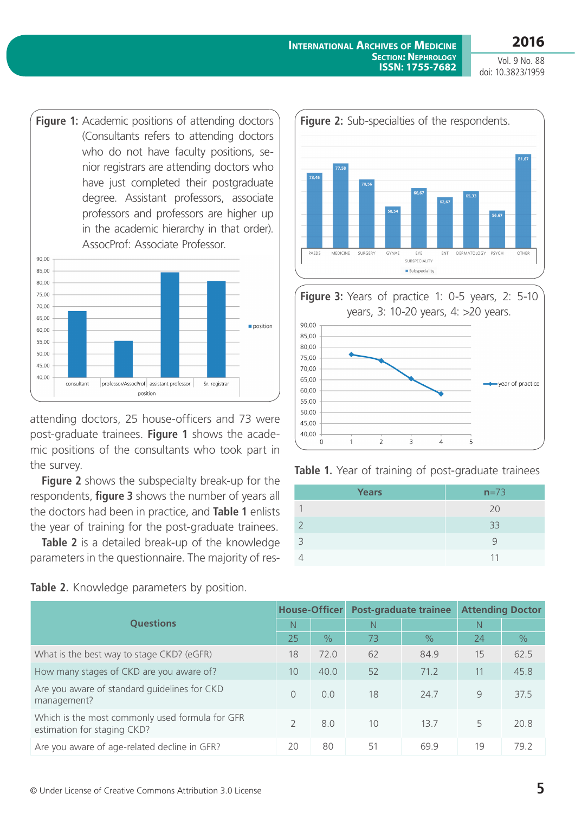**Figure 1:** Academic positions of attending doctors (Consultants refers to attending doctors who do not have faculty positions, senior registrars are attending doctors who have just completed their postgraduate degree. Assistant professors, associate professors and professors are higher up in the academic hierarchy in that order). AssocProf: Associate Professor.



attending doctors, 25 house-officers and 73 were post-graduate trainees. **Figure 1** shows the academic positions of the consultants who took part in the survey.

**Figure 2** shows the subspecialty break-up for the respondents, **figure 3** shows the number of years all the doctors had been in practice, and **Table 1** enlists the year of training for the post-graduate trainees.

**Table 2** is a detailed break-up of the knowledge parameters in the questionnaire. The majority of res-

Table 2. Knowledge parameters by position.



**Figure 3:** years of practice 1: 0-5 years, 2: 5-10 years, 3: 10-20 years, 4: >20 years.





| <b>Years</b> | $n=73$ |
|--------------|--------|
|              | 20     |
|              | 33     |
| 3            |        |
|              | 11     |

| <b>Ouestions</b>                                                               |               | House-Officer | Post-graduate trainee |               | <b>Attending Doctor</b> |               |
|--------------------------------------------------------------------------------|---------------|---------------|-----------------------|---------------|-------------------------|---------------|
|                                                                                |               |               | N                     |               | N                       |               |
|                                                                                | 25            | $\frac{0}{6}$ | 73                    | $\frac{9}{6}$ | 24                      | $\frac{0}{0}$ |
| What is the best way to stage CKD? (eGFR)                                      | 18            | 72.0          | 62                    | 84.9          | 15                      | 62.5          |
| How many stages of CKD are you aware of?                                       | 10            | 40.0          | 52                    | 71.2          | 11                      | 45.8          |
| Are you aware of standard guidelines for CKD<br>management?                    | $\bigcap$     | 0.0           | 18                    | 24.7          | 9                       | 37.5          |
| Which is the most commonly used formula for GFR<br>estimation for staging CKD? | $\mathcal{P}$ | 8.0           | 10                    | 13.7          | 5                       | 20.8          |
| Are you aware of age-related decline in GFR?                                   | 20            | 80            | 51                    | 69.9          | 19                      | 79.2          |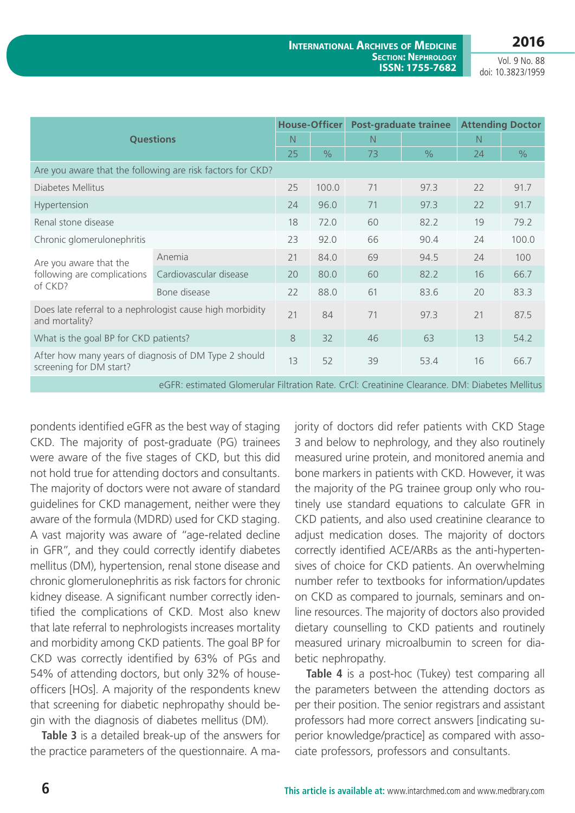**2016**

Vol. 9 No. 88 doi: 10.3823/1959

|                                                                                               |                        | <b>House-Officer</b> |               | <b>Post-graduate trainee</b> |               | <b>Attending Doctor</b> |               |  |
|-----------------------------------------------------------------------------------------------|------------------------|----------------------|---------------|------------------------------|---------------|-------------------------|---------------|--|
|                                                                                               | <b>Questions</b>       | N                    |               | N                            |               | N                       |               |  |
|                                                                                               |                        | 25                   | $\frac{0}{0}$ | 73                           | $\frac{0}{0}$ | 24                      | $\frac{0}{0}$ |  |
| Are you aware that the following are risk factors for CKD?                                    |                        |                      |               |                              |               |                         |               |  |
| Diabetes Mellitus                                                                             |                        | 25                   | 100.0         | 71                           | 97.3          | 22                      | 91.7          |  |
| Hypertension                                                                                  |                        | 24                   | 96.0          | 71                           | 97.3          | 22                      | 91.7          |  |
| Renal stone disease                                                                           |                        | 18                   | 72.0          | 60                           | 82.2          | 19                      | 79.2          |  |
| Chronic glomerulonephritis                                                                    |                        | 23                   | 92.0          | 66                           | 90.4          | 24                      | 100.0         |  |
| Are you aware that the                                                                        | Anemia                 | 21                   | 84.0          | 69                           | 94.5          | 24                      | 100           |  |
| following are complications                                                                   | Cardiovascular disease | 20                   | 80.0          | 60                           | 82.2          | 16                      | 66.7          |  |
| of CKD?                                                                                       | Bone disease           | 22                   | 88.0          | 61                           | 83.6          | 20                      | 83.3          |  |
| Does late referral to a nephrologist cause high morbidity<br>and mortality?                   |                        | 21                   | 84            | 71                           | 97.3          | 21                      | 87.5          |  |
| What is the goal BP for CKD patients?                                                         |                        |                      | 32            | 46                           | 63            | 13                      | 54.2          |  |
| After how many years of diagnosis of DM Type 2 should<br>screening for DM start?              |                        | 13                   | 52            | 39                           | 53.4          | 16                      | 66.7          |  |
| eGFR: estimated Glomerular Filtration Rate. CrCl: Creatinine Clearance. DM: Diabetes Mellitus |                        |                      |               |                              |               |                         |               |  |

pondents identified eGFR as the best way of staging CKD. The majority of post-graduate (PG) trainees were aware of the five stages of CKD, but this did not hold true for attending doctors and consultants. The majority of doctors were not aware of standard guidelines for CKD management, neither were they aware of the formula (MDRD) used for CKD staging. A vast majority was aware of "age-related decline in GFR", and they could correctly identify diabetes mellitus (DM), hypertension, renal stone disease and chronic glomerulonephritis as risk factors for chronic kidney disease. A significant number correctly identified the complications of CKD. Most also knew that late referral to nephrologists increases mortality and morbidity among CKD patients. The goal BP for CKD was correctly identified by 63% of PGs and 54% of attending doctors, but only 32% of houseofficers [HOs]. A majority of the respondents knew that screening for diabetic nephropathy should begin with the diagnosis of diabetes mellitus (DM).

**Table 3** is a detailed break-up of the answers for the practice parameters of the questionnaire. A majority of doctors did refer patients with CKD Stage 3 and below to nephrology, and they also routinely measured urine protein, and monitored anemia and bone markers in patients with CKD. However, it was the majority of the PG trainee group only who routinely use standard equations to calculate GFR in CKD patients, and also used creatinine clearance to adjust medication doses. The majority of doctors correctly identified ACE/ARBs as the anti-hypertensives of choice for CKD patients. An overwhelming number refer to textbooks for information/updates on CKD as compared to journals, seminars and online resources. The majority of doctors also provided dietary counselling to CKD patients and routinely measured urinary microalbumin to screen for diabetic nephropathy.

**Table 4** is a post-hoc (Tukey) test comparing all the parameters between the attending doctors as per their position. The senior registrars and assistant professors had more correct answers [indicating superior knowledge/practice] as compared with associate professors, professors and consultants.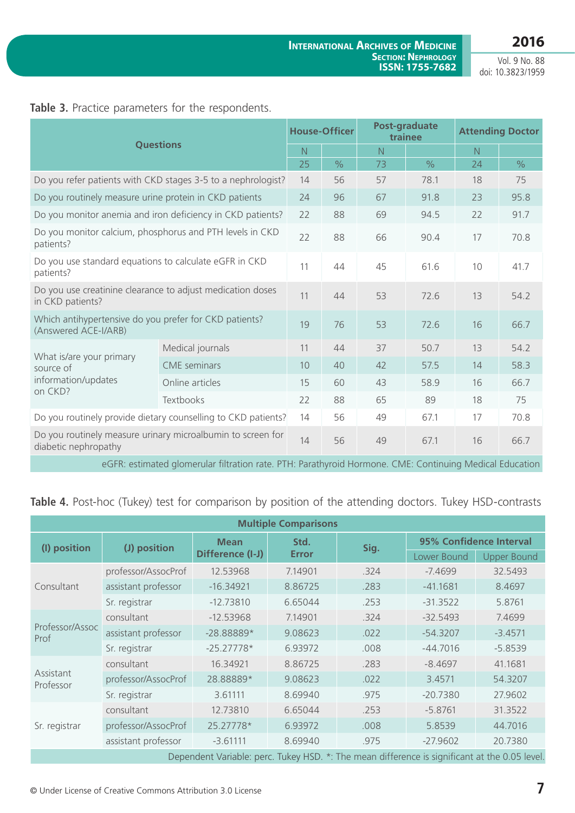Vol. 9 No. 88 doi: 10.3823/1959

### Table 3. Practice parameters for the respondents.

| <b>Questions</b>                                                               |                                                                                                         | <b>House-Officer</b> |               | Post-graduate<br>trainee |               | <b>Attending Doctor</b> |      |
|--------------------------------------------------------------------------------|---------------------------------------------------------------------------------------------------------|----------------------|---------------|--------------------------|---------------|-------------------------|------|
|                                                                                |                                                                                                         | N                    |               | $\overline{N}$           |               | $\overline{N}$          |      |
|                                                                                |                                                                                                         |                      | $\frac{0}{0}$ | 73                       | $\frac{0}{0}$ | 24                      | $\%$ |
| Do you refer patients with CKD stages 3-5 to a nephrologist?                   |                                                                                                         |                      | 56            | 57                       | 78.1          | 18                      | 75   |
| Do you routinely measure urine protein in CKD patients                         |                                                                                                         | 24                   | 96            | 67                       | 91.8          | 23                      | 95.8 |
|                                                                                | Do you monitor anemia and iron deficiency in CKD patients?                                              | 22                   | 88            | 69                       | 94.5          | 22                      | 91.7 |
| Do you monitor calcium, phosphorus and PTH levels in CKD<br>patients?          |                                                                                                         |                      | 88            | 66                       | 90.4          | 17                      | 70.8 |
| Do you use standard equations to calculate eGFR in CKD<br>patients?            |                                                                                                         |                      | 44            | 45                       | 61.6          | 10                      | 41.7 |
| Do you use creatinine clearance to adjust medication doses<br>in CKD patients? |                                                                                                         |                      | 44            | 53                       | 72.6          | 13                      | 54.2 |
| Which antihypertensive do you prefer for CKD patients?<br>(Answered ACE-I/ARB) |                                                                                                         | 19                   | 76            | 53                       | 72.6          | 16                      | 66.7 |
|                                                                                | Medical journals                                                                                        | 11                   | 44            | 37                       | 50.7          | 13                      | 54.2 |
| What is/are your primary<br>source of                                          | <b>CME</b> seminars                                                                                     | 10                   | 40            | 42                       | 57.5          | 14                      | 58.3 |
| information/updates                                                            | Online articles                                                                                         | 15                   | 60            | 43                       | 58.9          | 16                      | 66.7 |
| on CKD?                                                                        | Textbooks                                                                                               | 22                   | 88            | 65                       | 89            | 18                      | 75   |
| Do you routinely provide dietary counselling to CKD patients?                  |                                                                                                         |                      | 56            | 49                       | 67.1          | 17                      | 70.8 |
| diabetic nephropathy                                                           | Do you routinely measure urinary microalbumin to screen for                                             | 14                   | 56            | 49                       | 67.1          | 16                      | 66.7 |
|                                                                                | eGFR: estimated glomerular filtration rate. PTH: Parathyroid Hormone. CME: Continuing Medical Education |                      |               |                          |               |                         |      |

Table 4. Post-hoc (Tukey) test for comparison by position of the attending doctors. Tukey HSD-contrasts

| <b>Multiple Comparisons</b>                                                                   |                     |                  |              |      |                         |                    |  |
|-----------------------------------------------------------------------------------------------|---------------------|------------------|--------------|------|-------------------------|--------------------|--|
| (I) position                                                                                  | (J) position        | <b>Mean</b>      | Std.         | Sig. | 95% Confidence Interval |                    |  |
|                                                                                               |                     | Difference (I-J) | <b>Error</b> |      | Lower Bound             | <b>Upper Bound</b> |  |
| Consultant                                                                                    | professor/AssocProf | 12.53968         | 7.14901      | .324 | $-7.4699$               | 32.5493            |  |
|                                                                                               | assistant professor | $-16.34921$      | 8.86725      | .283 | $-41.1681$              | 8.4697             |  |
|                                                                                               | Sr. registrar       | $-12.73810$      | 6.65044      | .253 | $-31.3522$              | 5.8761             |  |
| Professor/Assoc<br>Prof                                                                       | consultant          | $-12.53968$      | 7.14901      | .324 | $-32.5493$              | 7.4699             |  |
|                                                                                               | assistant professor | -28.88889*       | 9.08623      | .022 | $-54.3207$              | $-3.4571$          |  |
|                                                                                               | Sr. registrar       | $-25.27778*$     | 6.93972      | .008 | $-44.7016$              | $-5.8539$          |  |
|                                                                                               | consultant          | 16.34921         | 8.86725      | .283 | $-8.4697$               | 41.1681            |  |
| Assistant<br>Professor                                                                        | professor/AssocProf | 28.88889*        | 9.08623      | .022 | 3.4571                  | 54.3207            |  |
|                                                                                               | Sr. registrar       | 3.61111          | 8.69940      | .975 | $-20.7380$              | 27.9602            |  |
|                                                                                               | consultant          | 12.73810         | 6.65044      | .253 | $-5.8761$               | 31.3522            |  |
| Sr. registrar                                                                                 | professor/AssocProf | 25.27778*        | 6.93972      | .008 | 5.8539                  | 44.7016            |  |
|                                                                                               | assistant professor | $-3.61111$       | 8.69940      | .975 | $-27.9602$              | 20.7380            |  |
| Dependent Variable: perc. Tukey HSD. *: The mean difference is significant at the 0.05 level. |                     |                  |              |      |                         |                    |  |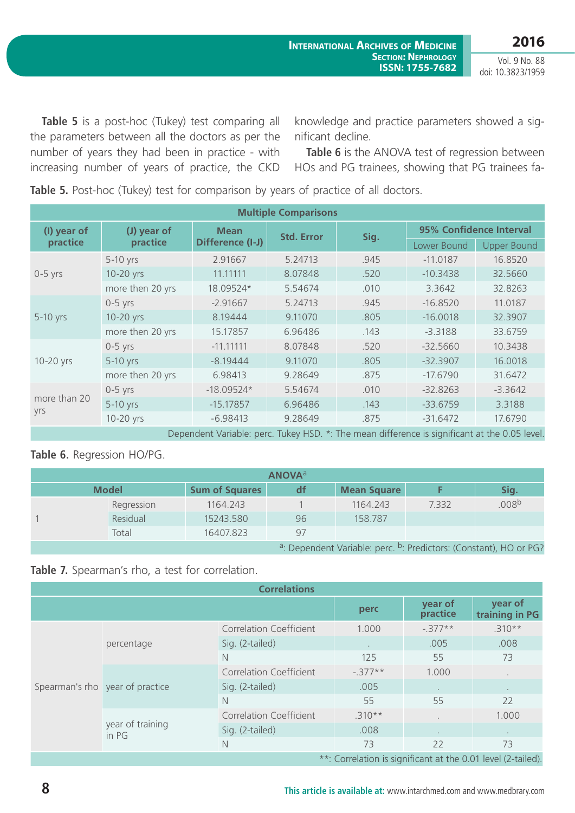Vol. 9 No. 88 doi: 10.3823/1959

**Table 5** is a post-hoc (Tukey) test comparing all the parameters between all the doctors as per the number of years they had been in practice - with increasing number of years of practice, the CKD knowledge and practice parameters showed a significant decline.

**Table 6** is the ANOVA test of regression between HOs and PG trainees, showing that PG trainees fa-

**Table 5.** Post-hoc (Tukey) test for comparison by years of practice of all doctors.

| <b>Multiple Comparisons</b> |                                                                                               |                  |                   |      |                         |             |                    |
|-----------------------------|-----------------------------------------------------------------------------------------------|------------------|-------------------|------|-------------------------|-------------|--------------------|
| (I) year of                 | (J) year of                                                                                   | <b>Mean</b>      | <b>Std. Error</b> | Sig. | 95% Confidence Interval |             |                    |
| practice                    | practice                                                                                      | Difference (I-J) |                   |      |                         | Lower Bound | <b>Upper Bound</b> |
| $0-5$ yrs                   | 5-10 yrs                                                                                      | 2.91667          | 5.24713           | .945 | $-11.0187$              | 16.8520     |                    |
|                             | 10-20 yrs                                                                                     | 11.11111         | 8.07848           | .520 | $-10.3438$              | 32.5660     |                    |
|                             | more then 20 yrs                                                                              | 18.09524*        | 5.54674           | .010 | 3.3642                  | 32.8263     |                    |
| 5-10 yrs                    | $0-5$ yrs                                                                                     | $-2.91667$       | 5.24713           | .945 | $-16.8520$              | 11.0187     |                    |
|                             | 10-20 yrs                                                                                     | 8.19444          | 9.11070           | .805 | $-16.0018$              | 32.3907     |                    |
|                             | more then 20 yrs                                                                              | 15.17857         | 6.96486           | .143 | $-3.3188$               | 33.6759     |                    |
|                             | $0-5$ yrs                                                                                     | $-11.11111$      | 8.07848           | .520 | $-32.5660$              | 10.3438     |                    |
| 10-20 yrs                   | 5-10 yrs                                                                                      | $-8.19444$       | 9.11070           | .805 | $-32.3907$              | 16.0018     |                    |
|                             | more then 20 yrs                                                                              | 6.98413          | 9.28649           | .875 | $-17.6790$              | 31.6472     |                    |
|                             | $0-5$ yrs                                                                                     | $-18.09524*$     | 5.54674           | .010 | $-32.8263$              | $-3.3642$   |                    |
| more than 20<br>yrs         | 5-10 yrs                                                                                      | $-15.17857$      | 6.96486           | .143 | $-33.6759$              | 3.3188      |                    |
|                             | 10-20 yrs                                                                                     | $-6.98413$       | 9.28649           | .875 | $-31.6472$              | 17.6790     |                    |
|                             | Dependent Variable: perc. Tukey HSD. *: The mean difference is significant at the 0.05 level. |                  |                   |      |                         |             |                    |

### **Table 6.** Regression HO/PG.

| <b>ANOVA</b> <sup>a</sup>                                                                 |              |                       |    |                    |       |                   |  |
|-------------------------------------------------------------------------------------------|--------------|-----------------------|----|--------------------|-------|-------------------|--|
|                                                                                           | <b>Model</b> | <b>Sum of Squares</b> | df | <b>Mean Square</b> |       | Sig.              |  |
|                                                                                           | Regression   | 1164.243              |    | 1164.243           | 7.332 | .008 <sup>b</sup> |  |
|                                                                                           | Residual     | 15243.580             | 96 | 158.787            |       |                   |  |
|                                                                                           | Total        | 16407.823             | 97 |                    |       |                   |  |
| <sup>a</sup> : Dependent Variable: perc. <sup>b</sup> : Predictors: (Constant), HO or PG? |              |                       |    |                    |       |                   |  |

### **Table 7.** Spearman's rho, a test for correlation.

| <b>Correlations</b>                                          |                                 |                                |          |                     |                           |  |  |  |
|--------------------------------------------------------------|---------------------------------|--------------------------------|----------|---------------------|---------------------------|--|--|--|
|                                                              |                                 |                                | perc     | year of<br>practice | year of<br>training in PG |  |  |  |
|                                                              |                                 | <b>Correlation Coefficient</b> | 1.000    | $-.377**$           | $.310**$                  |  |  |  |
|                                                              | percentage                      | Sig. (2-tailed)                |          | .005                | .008                      |  |  |  |
|                                                              |                                 | $\mathbb N$                    | 125      | 55                  | 73                        |  |  |  |
|                                                              | Spearman's rho year of practice | Correlation Coefficient        | $-377**$ | 1.000               |                           |  |  |  |
|                                                              |                                 | Sig. (2-tailed)                | .005     | $\sim$              | $\cdot$                   |  |  |  |
|                                                              |                                 | N                              | 55       | 55                  | 22                        |  |  |  |
|                                                              | year of training<br>in PG       | <b>Correlation Coefficient</b> | $.310**$ |                     | 1.000                     |  |  |  |
|                                                              |                                 | Sig. (2-tailed)                | .008     | $\sim$              | $\sim$                    |  |  |  |
|                                                              |                                 | $\mathbb N$                    | 73       | 22                  | 73                        |  |  |  |
| **: Correlation is significant at the 0.01 level (2-tailed). |                                 |                                |          |                     |                           |  |  |  |

**8 This article is available at:** [www.intarchmed.com](http://www.intarchmed.com) and www.medbrary.com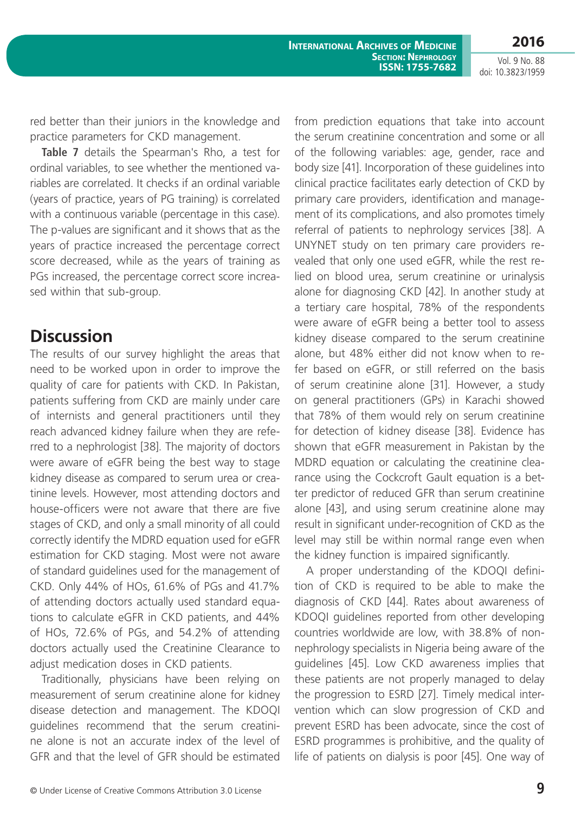Vol. 9 No. 88 doi: 10.3823/1959

red better than their juniors in the knowledge and practice parameters for CKD management.

**Table 7** details the Spearman's Rho, a test for ordinal variables, to see whether the mentioned variables are correlated. It checks if an ordinal variable (years of practice, years of PG training) is correlated with a continuous variable (percentage in this case). The p-values are significant and it shows that as the years of practice increased the percentage correct score decreased, while as the years of training as PGs increased, the percentage correct score increased within that sub-group.

### **Discussion**

The results of our survey highlight the areas that need to be worked upon in order to improve the quality of care for patients with CKD. In Pakistan, patients suffering from CKD are mainly under care of internists and general practitioners until they reach advanced kidney failure when they are referred to a nephrologist [38]. The majority of doctors were aware of eGFR being the best way to stage kidney disease as compared to serum urea or creatinine levels. However, most attending doctors and house-officers were not aware that there are five stages of CKD, and only a small minority of all could correctly identify the MDRD equation used for eGFR estimation for CKD staging. Most were not aware of standard guidelines used for the management of CKD. Only 44% of HOs, 61.6% of PGs and 41.7% of attending doctors actually used standard equations to calculate eGFR in CKD patients, and 44% of HOs, 72.6% of PGs, and 54.2% of attending doctors actually used the Creatinine Clearance to adjust medication doses in CKD patients.

Traditionally, physicians have been relying on measurement of serum creatinine alone for kidney disease detection and management. The KDOQI guidelines recommend that the serum creatinine alone is not an accurate index of the level of GFR and that the level of GFR should be estimated

from prediction equations that take into account the serum creatinine concentration and some or all of the following variables: age, gender, race and body size [41]. Incorporation of these guidelines into clinical practice facilitates early detection of CKD by primary care providers, identification and management of its complications, and also promotes timely referral of patients to nephrology services [38]. A UNYNET study on ten primary care providers revealed that only one used eGFR, while the rest relied on blood urea, serum creatinine or urinalysis alone for diagnosing CKD [42]. In another study at a tertiary care hospital, 78% of the respondents were aware of eGFR being a better tool to assess kidney disease compared to the serum creatinine alone, but 48% either did not know when to refer based on eGFR, or still referred on the basis of serum creatinine alone [31]. However, a study on general practitioners (GPs) in Karachi showed that 78% of them would rely on serum creatinine for detection of kidney disease [38]. Evidence has shown that eGFR measurement in Pakistan by the MDRD equation or calculating the creatinine clearance using the Cockcroft Gault equation is a better predictor of reduced GFR than serum creatinine alone [43], and using serum creatinine alone may result in significant under-recognition of CKD as the level may still be within normal range even when the kidney function is impaired significantly.

A proper understanding of the KDOQI definition of CKD is required to be able to make the diagnosis of CKD [44]. Rates about awareness of KDOQI guidelines reported from other developing countries worldwide are low, with 38.8% of nonnephrology specialists in Nigeria being aware of the guidelines [45]. Low CKD awareness implies that these patients are not properly managed to delay the progression to ESRD [27]. Timely medical intervention which can slow progression of CKD and prevent ESRD has been advocate, since the cost of ESRD programmes is prohibitive, and the quality of life of patients on dialysis is poor [45]. One way of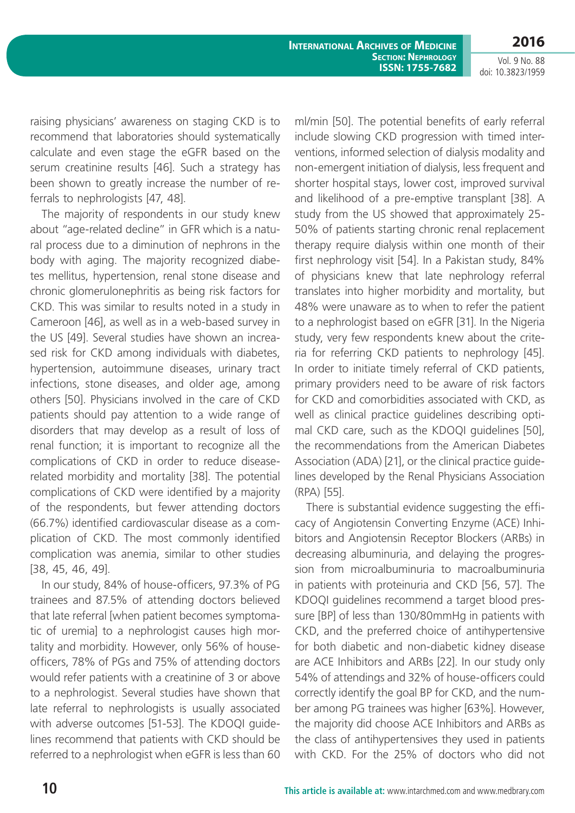**2016**

Vol. 9 No. 88 doi: 10.3823/1959

raising physicians' awareness on staging CKD is to recommend that laboratories should systematically calculate and even stage the eGFR based on the serum creatinine results [46]. Such a strategy has been shown to greatly increase the number of referrals to nephrologists [47, 48].

The majority of respondents in our study knew about "age-related decline" in GFR which is a natural process due to a diminution of nephrons in the body with aging. The majority recognized diabetes mellitus, hypertension, renal stone disease and chronic glomerulonephritis as being risk factors for CKD. This was similar to results noted in a study in Cameroon [46], as well as in a web-based survey in the US [49]. Several studies have shown an increased risk for CKD among individuals with diabetes, hypertension, autoimmune diseases, urinary tract infections, stone diseases, and older age, among others [50]. Physicians involved in the care of CKD patients should pay attention to a wide range of disorders that may develop as a result of loss of renal function; it is important to recognize all the complications of CKD in order to reduce diseaserelated morbidity and mortality [38]. The potential complications of CKD were identified by a majority of the respondents, but fewer attending doctors (66.7%) identified cardiovascular disease as a complication of CKD. The most commonly identified complication was anemia, similar to other studies [38, 45, 46, 49].

In our study, 84% of house-officers, 97.3% of PG trainees and 87.5% of attending doctors believed that late referral [when patient becomes symptomatic of uremia] to a nephrologist causes high mortality and morbidity. However, only 56% of houseofficers, 78% of PGs and 75% of attending doctors would refer patients with a creatinine of 3 or above to a nephrologist. Several studies have shown that late referral to nephrologists is usually associated with adverse outcomes [51-53]. The KDOQI guidelines recommend that patients with CKD should be referred to a nephrologist when eGFR is less than 60 ml/min [50]. The potential benefits of early referral include slowing CKD progression with timed interventions, informed selection of dialysis modality and non-emergent initiation of dialysis, less frequent and shorter hospital stays, lower cost, improved survival and likelihood of a pre-emptive transplant [38]. A study from the US showed that approximately 25- 50% of patients starting chronic renal replacement therapy require dialysis within one month of their first nephrology visit [54]. In a Pakistan study, 84% of physicians knew that late nephrology referral translates into higher morbidity and mortality, but 48% were unaware as to when to refer the patient to a nephrologist based on eGFR [31]. In the Nigeria study, very few respondents knew about the criteria for referring CKD patients to nephrology [45]. In order to initiate timely referral of CKD patients, primary providers need to be aware of risk factors for CKD and comorbidities associated with CKD, as well as clinical practice guidelines describing optimal CKD care, such as the KDOQI guidelines [50], the recommendations from the American Diabetes Association (ADA) [21], or the clinical practice guidelines developed by the Renal Physicians Association (RPA) [55].

There is substantial evidence suggesting the efficacy of Angiotensin Converting Enzyme (ACE) Inhibitors and Angiotensin Receptor Blockers (ARBs) in decreasing albuminuria, and delaying the progression from microalbuminuria to macroalbuminuria in patients with proteinuria and CKD [56, 57]. The KDOQI guidelines recommend a target blood pressure [BP] of less than 130/80mmHg in patients with CKD, and the preferred choice of antihypertensive for both diabetic and non-diabetic kidney disease are ACE Inhibitors and ARBs [22]. In our study only 54% of attendings and 32% of house-officers could correctly identify the goal BP for CKD, and the number among PG trainees was higher [63%]. However, the majority did choose ACE Inhibitors and ARBs as the class of antihypertensives they used in patients with CKD. For the 25% of doctors who did not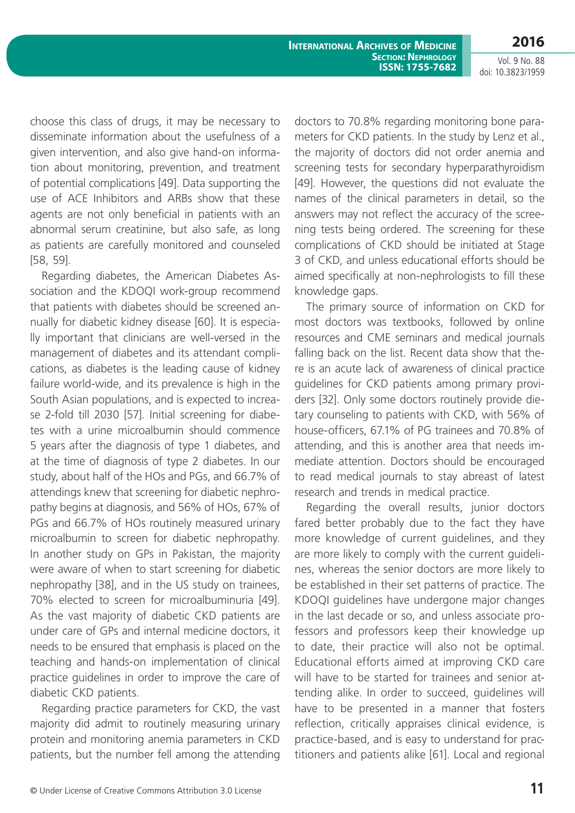**2016**

Vol. 9 No. 88 doi: 10.3823/1959

choose this class of drugs, it may be necessary to disseminate information about the usefulness of a given intervention, and also give hand-on information about monitoring, prevention, and treatment of potential complications [49]. Data supporting the use of ACE Inhibitors and ARBs show that these agents are not only beneficial in patients with an abnormal serum creatinine, but also safe, as long as patients are carefully monitored and counseled [58, 59].

Regarding diabetes, the American Diabetes Association and the KDOQI work-group recommend that patients with diabetes should be screened annually for diabetic kidney disease [60]. It is especially important that clinicians are well-versed in the management of diabetes and its attendant complications, as diabetes is the leading cause of kidney failure world-wide, and its prevalence is high in the South Asian populations, and is expected to increase 2-fold till 2030 [57]. Initial screening for diabetes with a urine microalbumin should commence 5 years after the diagnosis of type 1 diabetes, and at the time of diagnosis of type 2 diabetes. In our study, about half of the HOs and PGs, and 66.7% of attendings knew that screening for diabetic nephropathy begins at diagnosis, and 56% of HOs, 67% of PGs and 66.7% of HOs routinely measured urinary microalbumin to screen for diabetic nephropathy. In another study on GPs in Pakistan, the majority were aware of when to start screening for diabetic nephropathy [38], and in the US study on trainees, 70% elected to screen for microalbuminuria [49]. As the vast majority of diabetic CKD patients are under care of GPs and internal medicine doctors, it needs to be ensured that emphasis is placed on the teaching and hands-on implementation of clinical practice guidelines in order to improve the care of diabetic CKD patients.

Regarding practice parameters for CKD, the vast majority did admit to routinely measuring urinary protein and monitoring anemia parameters in CKD patients, but the number fell among the attending doctors to 70.8% regarding monitoring bone parameters for CKD patients. In the study by Lenz et al., the majority of doctors did not order anemia and screening tests for secondary hyperparathyroidism [49]. However, the questions did not evaluate the names of the clinical parameters in detail, so the answers may not reflect the accuracy of the screening tests being ordered. The screening for these complications of CKD should be initiated at Stage 3 of CKD, and unless educational efforts should be aimed specifically at non-nephrologists to fill these knowledge gaps.

The primary source of information on CKD for most doctors was textbooks, followed by online resources and CME seminars and medical journals falling back on the list. Recent data show that there is an acute lack of awareness of clinical practice guidelines for CKD patients among primary providers [32]. Only some doctors routinely provide dietary counseling to patients with CKD, with 56% of house-officers, 67.1% of PG trainees and 70.8% of attending, and this is another area that needs immediate attention. Doctors should be encouraged to read medical journals to stay abreast of latest research and trends in medical practice.

Regarding the overall results, junior doctors fared better probably due to the fact they have more knowledge of current guidelines, and they are more likely to comply with the current guidelines, whereas the senior doctors are more likely to be established in their set patterns of practice. The KDOQI guidelines have undergone major changes in the last decade or so, and unless associate professors and professors keep their knowledge up to date, their practice will also not be optimal. Educational efforts aimed at improving CKD care will have to be started for trainees and senior attending alike. In order to succeed, guidelines will have to be presented in a manner that fosters reflection, critically appraises clinical evidence, is practice-based, and is easy to understand for practitioners and patients alike [61]. Local and regional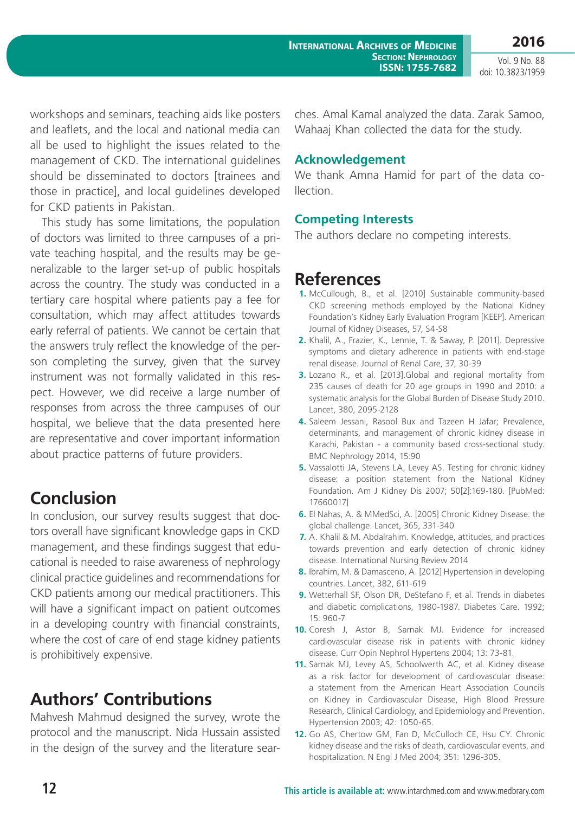workshops and seminars, teaching aids like posters and leaflets, and the local and national media can all be used to highlight the issues related to the management of CKD. The international guidelines should be disseminated to doctors [trainees and those in practice], and local guidelines developed for CKD patients in Pakistan.

This study has some limitations, the population of doctors was limited to three campuses of a private teaching hospital, and the results may be generalizable to the larger set-up of public hospitals across the country. The study was conducted in a tertiary care hospital where patients pay a fee for consultation, which may affect attitudes towards early referral of patients. We cannot be certain that the answers truly reflect the knowledge of the person completing the survey, given that the survey instrument was not formally validated in this respect. However, we did receive a large number of responses from across the three campuses of our hospital, we believe that the data presented here are representative and cover important information about practice patterns of future providers.

## **Conclusion**

In conclusion, our survey results suggest that doctors overall have significant knowledge gaps in CKD management, and these findings suggest that educational is needed to raise awareness of nephrology clinical practice guidelines and recommendations for CKD patients among our medical practitioners. This will have a significant impact on patient outcomes in a developing country with financial constraints, where the cost of care of end stage kidney patients is prohibitively expensive.

# **Authors' Contributions**

Mahvesh Mahmud designed the survey, wrote the protocol and the manuscript. Nida Hussain assisted in the design of the survey and the literature searches. Amal Kamal analyzed the data. Zarak Samoo, Wahaaj Khan collected the data for the study.

### **acknowledgement**

We thank Amna Hamid for part of the data co**llection** 

### **Competing Interests**

The authors declare no competing interests.

## **References**

- **1.** McCullough, B., et al. [2010] Sustainable community-based CKD screening methods employed by the National Kidney Foundation's Kidney Early Evaluation Program [KEEP]. American Journal of Kidney Diseases, 57, S4-S8
- **2.** Khalil, A., Frazier, K., Lennie, T. & Saway, P. [2011]. Depressive symptoms and dietary adherence in patients with end-stage renal disease. Journal of Renal Care, 37, 30-39
- **3.** Lozano R., et al. [2013].Global and regional mortality from 235 causes of death for 20 age groups in 1990 and 2010: a systematic analysis for the Global Burden of Disease Study 2010. Lancet, 380, 2095-2128
- **4.** Saleem Jessani, Rasool Bux and Tazeen H Jafar; Prevalence, determinants, and management of chronic kidney disease in Karachi, Pakistan - a community based cross-sectional study. BMC Nephrology 2014, 15:90
- **5.** Vassalotti JA, Stevens LA, Levey AS. Testing for chronic kidney disease: a position statement from the National Kidney Foundation. Am J Kidney Dis 2007; 50[2]:169-180. [PubMed: 17660017]
- **6.** El Nahas, A. & MMedSci, A. [2005] Chronic Kidney Disease: the global challenge. Lancet, 365, 331-340
- **7.** A. Khalil & M. Abdalrahim. Knowledge, attitudes, and practices towards prevention and early detection of chronic kidney disease. International Nursing Review 2014
- **8.** Ibrahim, M. & Damasceno, A. [2012] Hypertension in developing countries. Lancet, 382, 611-619
- **9.** Wetterhall SF, Olson DR, DeStefano F, et al. Trends in diabetes and diabetic complications, 1980-1987. Diabetes Care. 1992; 15: 960-7
- **10.** Coresh J, Astor B, Sarnak MJ. Evidence for increased cardiovascular disease risk in patients with chronic kidney disease. Curr Opin Nephrol Hypertens 2004; 13: 73-81.
- **11.** Sarnak MJ, Levey AS, Schoolwerth AC, et al. Kidney disease as a risk factor for development of cardiovascular disease: a statement from the American Heart Association Councils on Kidney in Cardiovascular Disease, High Blood Pressure Research, Clinical Cardiology, and Epidemiology and Prevention. Hypertension 2003; 42: 1050-65.
- **12.** Go AS, Chertow GM, Fan D, McCulloch CE, Hsu CY. Chronic kidney disease and the risks of death, cardiovascular events, and hospitalization. N Engl J Med 2004; 351: 1296-305.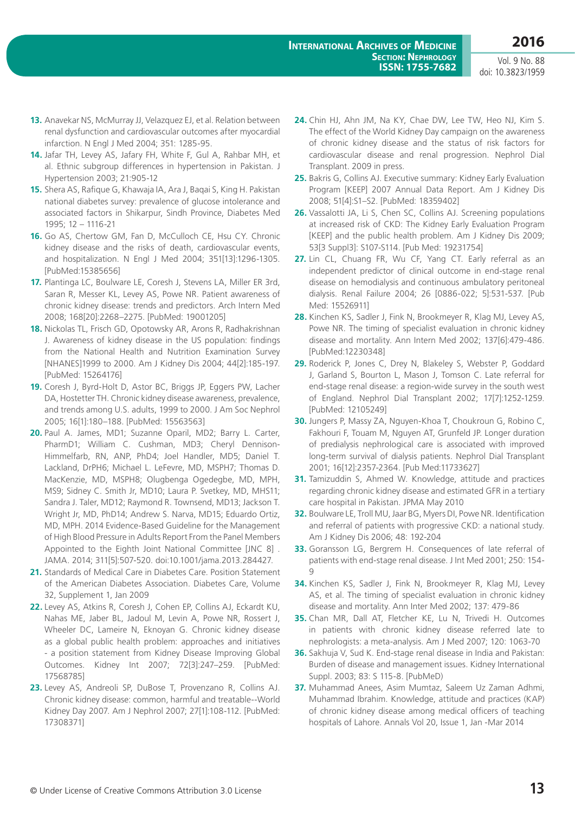- **13.** Anavekar NS, McMurray JJ, Velazquez EJ, et al. Relation between renal dysfunction and cardiovascular outcomes after myocardial infarction. N Engl J Med 2004; 351: 1285-95.
- **14.** Jafar TH, Levey AS, Jafary FH, White F, Gul A, Rahbar MH, et al. Ethnic subgroup differences in hypertension in Pakistan. J Hypertension 2003; 21:905-12
- **15.** Shera AS, Rafique G, Khawaja IA, Ara J, Baqai S, King H. Pakistan national diabetes survey: prevalence of glucose intolerance and associated factors in Shikarpur, Sindh Province, Diabetes Med 1995; 12 – 1116-21
- **16.** Go AS, Chertow GM, Fan D, McCulloch CE, Hsu CY. Chronic kidney disease and the risks of death, cardiovascular events, and hospitalization. N Engl J Med 2004; 351[13]:1296-1305. [PubMed:15385656]
- **17.** Plantinga LC, Boulware LE, Coresh J, Stevens LA, Miller ER 3rd, Saran R, Messer KL, Levey AS, Powe NR. Patient awareness of chronic kidney disease: trends and predictors. Arch Intern Med 2008; 168[20]:2268–2275. [PubMed: 19001205]
- **18.** Nickolas TL, Frisch GD, Opotowsky AR, Arons R, Radhakrishnan J. Awareness of kidney disease in the US population: findings from the National Health and Nutrition Examination Survey [NHANES]1999 to 2000. Am J Kidney Dis 2004; 44[2]:185-197. [PubMed: 15264176]
- **19.** Coresh J, Byrd-Holt D, Astor BC, Briggs JP, Eggers PW, Lacher DA, Hostetter TH. Chronic kidney disease awareness, prevalence, and trends among U.S. adults, 1999 to 2000. J Am Soc Nephrol 2005; 16[1]:180–188. [PubMed: 15563563]
- **20.** Paul A. James, MD1; Suzanne Oparil, MD2; Barry L. Carter, PharmD1; William C. Cushman, MD3; Cheryl Dennison-Himmelfarb, RN, ANP, PhD4; Joel Handler, MD5; Daniel T. Lackland, DrPH6; Michael L. LeFevre, MD, MSPH7; Thomas D. MacKenzie, MD, MSPH8; Olugbenga Ogedegbe, MD, MPH, MS9; Sidney C. Smith Jr, MD10; Laura P. Svetkey, MD, MHS11; Sandra J. Taler, MD12; Raymond R. Townsend, MD13; Jackson T. Wright Jr, MD, PhD14; Andrew S. Narva, MD15; Eduardo Ortiz, MD, MPH. 2014 Evidence-Based Guideline for the Management of High Blood Pressure in Adults Report From the Panel Members Appointed to the Eighth Joint National Committee [JNC 8] . JAMA. 2014; 311[5]:507-520. doi:10.1001/jama.2013.284427.
- **21.** Standards of Medical Care in Diabetes Care. Position Statement of the American Diabetes Association. Diabetes Care, Volume 32, Supplement 1, Jan 2009
- **22.** Levey AS, Atkins R, Coresh J, Cohen EP, Collins AJ, Eckardt KU, Nahas ME, Jaber BL, Jadoul M, Levin A, Powe NR, Rossert J, Wheeler DC, Lameire N, Eknoyan G. Chronic kidney disease as a global public health problem: approaches and initiatives - a position statement from Kidney Disease Improving Global Outcomes. Kidney Int 2007; 72[3]:247–259. [PubMed: 17568785]
- **23.** Levey AS, Andreoli SP, DuBose T, Provenzano R, Collins AJ. Chronic kidney disease: common, harmful and treatable--World Kidney Day 2007. Am J Nephrol 2007; 27[1]:108-112. [PubMed: 17308371]
- **24.** Chin HJ, Ahn JM, Na KY, Chae DW, Lee TW, Heo NJ, Kim S. The effect of the World Kidney Day campaign on the awareness of chronic kidney disease and the status of risk factors for cardiovascular disease and renal progression. Nephrol Dial Transplant. 2009 in press.
- **25.** Bakris G, Collins AJ. Executive summary: Kidney Early Evaluation Program [KEEP] 2007 Annual Data Report. Am J Kidney Dis 2008; 51[4]:S1–S2. [PubMed: 18359402]
- **26.** Vassalotti JA, Li S, Chen SC, Collins AJ. Screening populations at increased risk of CKD: The Kidney Early Evaluation Program [KEEP] and the public health problem. Am J Kidney Dis 2009; 53[3 Suppl3]: S107-S114. [Pub Med: 19231754]
- **27.** Lin CL, Chuang FR, Wu CF, Yang CT. Early referral as an independent predictor of clinical outcome in end-stage renal disease on hemodialysis and continuous ambulatory peritoneal dialysis. Renal Failure 2004; 26 [0886-022; 5]:531-537. [Pub Med: 15526911]
- **28.** Kinchen KS, Sadler J, Fink N, Brookmeyer R, Klag MJ, Levey AS, Powe NR. The timing of specialist evaluation in chronic kidney disease and mortality. Ann Intern Med 2002; 137[6]:479-486. [PubMed:12230348]
- **29.** Roderick P, Jones C, Drey N, Blakeley S, Webster P, Goddard J, Garland S, Bourton L, Mason J, Tomson C. Late referral for end-stage renal disease: a region-wide survey in the south west of England. Nephrol Dial Transplant 2002; 17[7]:1252-1259. [PubMed: 12105249]
- **30.** Jungers P, Massy ZA, Nguyen-Khoa T, Choukroun G, Robino C, Fakhouri F, Touam M, Nguyen AT, Grunfeld JP. Longer duration of predialysis nephrological care is associated with improved long-term survival of dialysis patients. Nephrol Dial Transplant 2001; 16[12]:2357-2364. [Pub Med:11733627]
- **31.** Tamizuddin S, Ahmed W. Knowledge, attitude and practices regarding chronic kidney disease and estimated GFR in a tertiary care hospital in Pakistan. JPMA May 2010
- **32.** Boulware LE, Troll MU, Jaar BG, Myers DI, Powe NR. Identification and referral of patients with progressive CKD: a national study. Am J Kidney Dis 2006; 48: 192-204
- **33.** Goransson LG, Bergrem H. Consequences of late referral of patients with end-stage renal disease. J Int Med 2001; 250: 154- 9
- **34.** Kinchen KS, Sadler J, Fink N, Brookmeyer R, Klag MJ, Levey AS, et al. The timing of specialist evaluation in chronic kidney disease and mortality. Ann Inter Med 2002; 137: 479-86
- **35.** Chan MR, Dall AT, Fletcher KE, Lu N, Trivedi H. Outcomes in patients with chronic kidney disease referred late to nephrologists: a meta-analysis. Am J Med 2007; 120: 1063-70
- **36.** Sakhuja V, Sud K. End-stage renal disease in India and Pakistan: Burden of disease and management issues. Kidney International Suppl. 2003; 83: S 115-8. [PubMeD)
- **37.** Muhammad Anees, Asim Mumtaz, Saleem Uz Zaman Adhmi, Muhammad Ibrahim. Knowledge, attitude and practices (KAP) of chronic kidney disease among medical officers of teaching hospitals of Lahore. Annals Vol 20, Issue 1, Jan -Mar 2014